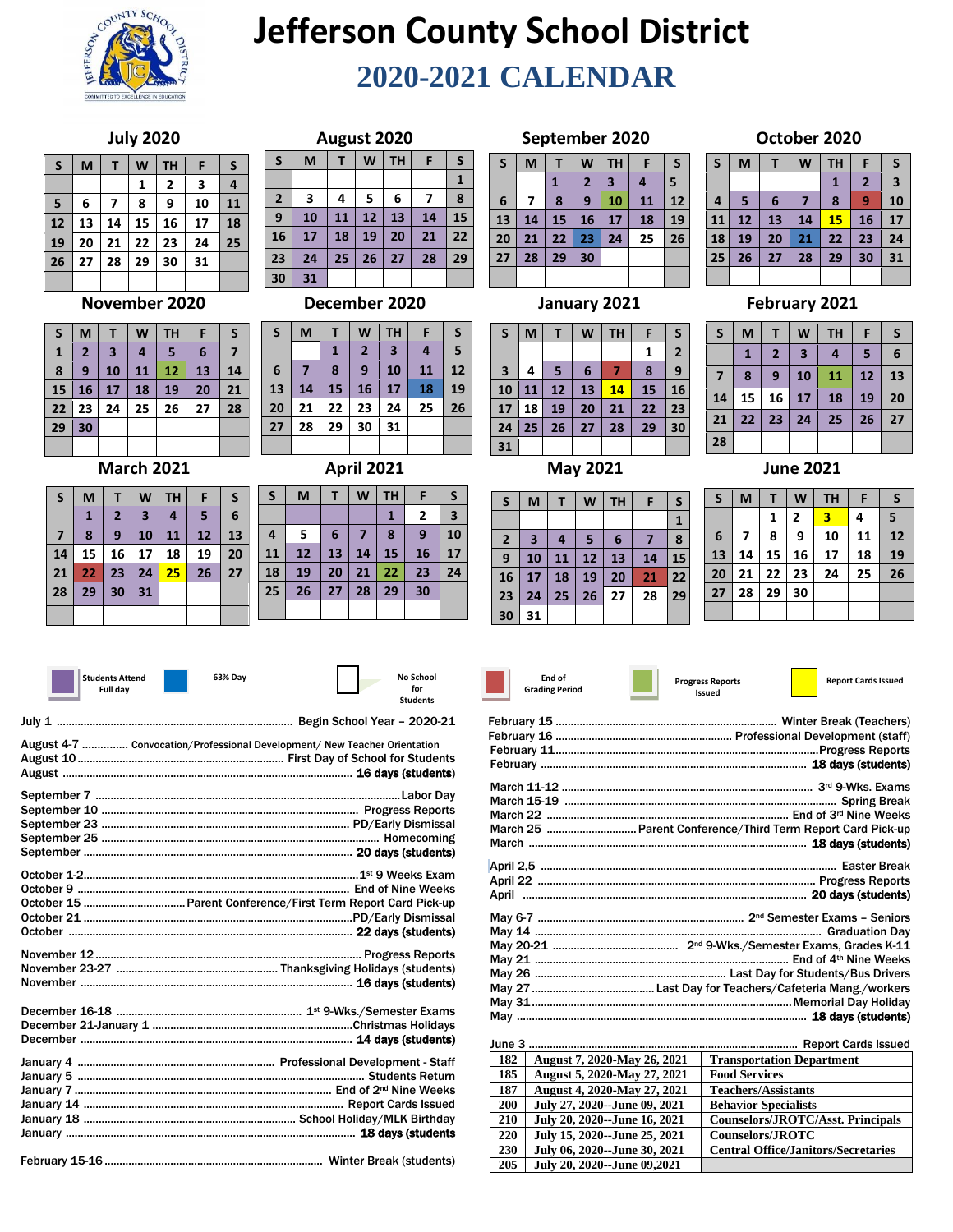

# **Jefferson County School District 2020-2021 CALENDAR**

#### **July 2020**

| S  | M  | т  | W  | <b>TH</b> | F  | S  |
|----|----|----|----|-----------|----|----|
|    |    |    | 1  | 2         | 3  | 4  |
| 5  | 6  | 7  | 8  | 9         | 10 | 11 |
| 12 | 13 | 14 | 15 | 16        | 17 | 18 |
| 19 | 20 | 21 | 22 | 23        | 24 | 25 |
| 26 | 27 | 28 | 29 | 30        | 31 |    |
|    |    |    |    |           |    |    |

#### **November 2020**

| S            | M              |                         | W                       | <b>TH</b> | F  | S  |
|--------------|----------------|-------------------------|-------------------------|-----------|----|----|
| $\mathbf{1}$ | $\overline{2}$ | $\overline{\mathbf{3}}$ | $\overline{\mathbf{4}}$ | 5         | 6  | 7  |
| 8            | 9              | 10                      | 11                      | 12        | 13 | 14 |
| 15           | 16             | 17                      | 18                      | 19        | 20 | 21 |
| 22           | 23             | 24                      | 25                      | 26        | 27 | 28 |
| 29           | 30             |                         |                         |           |    |    |
|              |                |                         |                         |           |    |    |

#### **March 2021**

| S              | M  |    | W  | <b>TH</b> | F  | S  |
|----------------|----|----|----|-----------|----|----|
|                | 1  | 2  | 3  | 4         | 5  | 6  |
| $\overline{7}$ | 8  | 9  | 10 | 11        | 12 | 13 |
| 14             | 15 | 16 | 17 | 18        | 19 | 20 |
| 21             | 22 | 23 | 24 | 25        | 26 | 27 |
| 28             | 29 | 30 | 31 |           |    |    |
|                |    |    |    |           |    |    |

| August 2020    |    |    |    |    |    |              |  |  |  |  |
|----------------|----|----|----|----|----|--------------|--|--|--|--|
| $\mathsf{s}$   | M  | Т  | W  | TH | F  | S            |  |  |  |  |
|                |    |    |    |    |    | $\mathbf{1}$ |  |  |  |  |
| $\overline{2}$ | 3  | 4  | 5  | 6  | 7  | 8            |  |  |  |  |
| 9              | 10 | 11 | 12 | 13 | 14 | 15           |  |  |  |  |
| 16             | 17 | 18 | 19 | 20 | 21 | 22           |  |  |  |  |
| 23             | 24 | 25 | 26 | 27 | 28 | 29           |  |  |  |  |
| 30             | 31 |    |    |    |    |              |  |  |  |  |

#### **December 2020**

| S               | M  | т  | W              | <b>TH</b>               | F  | S  |
|-----------------|----|----|----------------|-------------------------|----|----|
|                 |    | 1  | $\overline{2}$ | $\overline{\mathbf{3}}$ | 4  | 5  |
| $6\phantom{1}6$ |    | 8  | 9              | 10                      | 11 | 12 |
| 13              | 14 | 15 | 16             | 17                      | 18 | 19 |
| 20              | 21 | 22 | 23             | 24                      | 25 | 26 |
| 27              | 28 | 29 | 30             | 31                      |    |    |
|                 |    |    |                |                         |    |    |

#### **April 2021**

| S              | M  |    | W  | <b>TH</b> | F                       | S  |
|----------------|----|----|----|-----------|-------------------------|----|
|                |    |    |    | 1         | $\overline{\mathbf{c}}$ | 3  |
| $\overline{a}$ | 5  | 6  | 7  | 8         | 9                       | 10 |
| 11             | 12 | 13 | 14 | 15        | 16                      | 17 |
| 18             | 19 | 20 | 21 | 22        | 23                      | 24 |
| 25             | 26 | 27 | 28 | 29        | 30                      |    |
|                |    |    |    |           |                         |    |
|                |    |    |    |           |                         |    |

## **Students Attend**

**63% Day No School** 



| <b>Full dav</b>                                                           | for<br><b>Students</b> |
|---------------------------------------------------------------------------|------------------------|
|                                                                           |                        |
| August 4-7  Convocation/Professional Development/ New Teacher Orientation |                        |
|                                                                           |                        |
|                                                                           |                        |
|                                                                           |                        |
|                                                                           |                        |
|                                                                           |                        |

|  | June . |
|--|--------|
|  | 182    |
|  | 185    |
|  | 187    |
|  | 200    |
|  | 210    |
|  | 220    |
|  |        |

|--|--|--|--|

### **September 2020**

| S               | M  | Т  | W                       | <b>TH</b>               | F  | $\mathsf{s}$ |
|-----------------|----|----|-------------------------|-------------------------|----|--------------|
|                 |    | 1  | $\overline{\mathbf{z}}$ | $\overline{\mathbf{3}}$ | 4  | 5            |
| $6\phantom{1}6$ | 7  | 8  | 9                       | 10                      | 11 | 12           |
| 13              | 14 | 15 | 16                      | 17                      | 18 | 19           |
| 20              | 21 | 22 | 23                      | 24                      | 25 | 26           |
| 27              | 28 | 29 | 30                      |                         |    |              |
|                 |    |    |                         |                         |    |              |

## **January 2021**

| S  | M  | Т  | W  | <b>TH</b> | F  | S              |
|----|----|----|----|-----------|----|----------------|
|    |    |    |    |           | 1  | $\overline{2}$ |
| 3  | 4  | 5  | 6  | 7         | 8  | 9              |
| 10 | 11 | 12 | 13 | 14        | 15 | 16             |
| 17 | 18 | 19 | 20 | 21        | 22 | 23             |
| 24 | 25 | 26 | 27 | 28        | 29 | 30             |
| 31 |    |    |    |           |    |                |
|    |    |    |    |           |    |                |

**May 2021**

| S            | M  |    | W  | <b>TH</b> | F  | S  |
|--------------|----|----|----|-----------|----|----|
|              |    |    |    |           |    | 1  |
| $\mathbf{2}$ | 3  | 4  | 5  | 6         |    | 8  |
| 9            | 10 | 11 | 12 | 13        | 14 | 15 |
| 16           | 17 | 18 | 19 | 20        | 21 | 22 |
| 23           | 24 | 25 | 26 | 27        | 28 | 29 |
| 30           | 31 |    |    |           |    |    |

#### **October 2020**

| $\mathsf{s}$ | M  | Т  | W  | <b>TH</b> | F            | S  |
|--------------|----|----|----|-----------|--------------|----|
|              |    |    |    | 1         | $\mathbf{z}$ | 3  |
| 4            | 5  | 6  |    | 8         | 9            | 10 |
| 11           | 12 | 13 | 14 | 15        | 16           | 17 |
| 18           | 19 | 20 | 21 | 22        | 23           | 24 |
| 25           | 26 | 27 | 28 | 29        | 30           | 31 |
|              |    |    |    |           |              |    |

#### **February 2021**

| $\mathsf{s}$   | M            |                         | W                       | <b>TH</b> | F  | S  |
|----------------|--------------|-------------------------|-------------------------|-----------|----|----|
|                | $\mathbf{1}$ | $\overline{\mathbf{c}}$ | $\overline{\mathbf{3}}$ | 4         | 5  | 6  |
| $\overline{7}$ | 8            | 9                       | 10                      | 11        | 12 | 13 |
| 14             | 15           | 16                      | 17                      | 18        | 19 | 20 |
| 21             | 22           | 23                      | 24                      | 25        | 26 | 27 |
| 28             |              |                         |                         |           |    |    |
|                |              |                         |                         |           |    |    |

#### **June 2021**

| S               | M  | T  | W  | TH | F  | S  |
|-----------------|----|----|----|----|----|----|
|                 |    | 1  | 2  | 3  | 4  | 5  |
| $6\phantom{1}6$ | 7  | 8  | 9  | 10 | 11 | 12 |
| 13              | 14 | 15 | 16 | 17 | 18 | 19 |
| 20              | 21 | 22 | 23 | 24 | 25 | 26 |
| 27              | 28 | 29 | 30 |    |    |    |
|                 |    |    |    |    |    |    |

#### **End of Grading Period**

| March 25  Parent Conference/Third Term Report Card Pick-up |
|------------------------------------------------------------|
|                                                            |
|                                                            |
|                                                            |
|                                                            |
|                                                            |
|                                                            |
|                                                            |
|                                                            |
|                                                            |
|                                                            |
|                                                            |
|                                                            |
|                                                            |
|                                                            |

| June 3     |                              | <b>Report Cards Issued</b>                 |
|------------|------------------------------|--------------------------------------------|
| 182        | August 7, 2020-May 26, 2021  | <b>Transportation Department</b>           |
| 185        | August 5, 2020-May 27, 2021  | <b>Food Services</b>                       |
| 187        | August 4, 2020-May 27, 2021  | <b>Teachers/Assistants</b>                 |
| <b>200</b> | July 27, 2020--June 09, 2021 | <b>Behavior Specialists</b>                |
| 210        | July 20, 2020--June 16, 2021 | Counselors/JROTC/Asst. Principals          |
| 220        | July 15, 2020--June 25, 2021 | <b>Counselors/JROTC</b>                    |
| 230        | July 06, 2020--June 30, 2021 | <b>Central Office/Janitors/Secretaries</b> |
| 205        | July 20, 2020--June 09,2021  |                                            |

|  | ٠ | . . |  |
|--|---|-----|--|
|  |   |     |  |
|  |   |     |  |
|  |   |     |  |

| End of       |  |
|--------------|--|
| ading Period |  |

| End of |             |  |
|--------|-------------|--|
|        | ding Period |  |

| f     |  |  |
|-------|--|--|
| eriod |  |  |

**Issued**

Progress Reports **Report Cards Issued**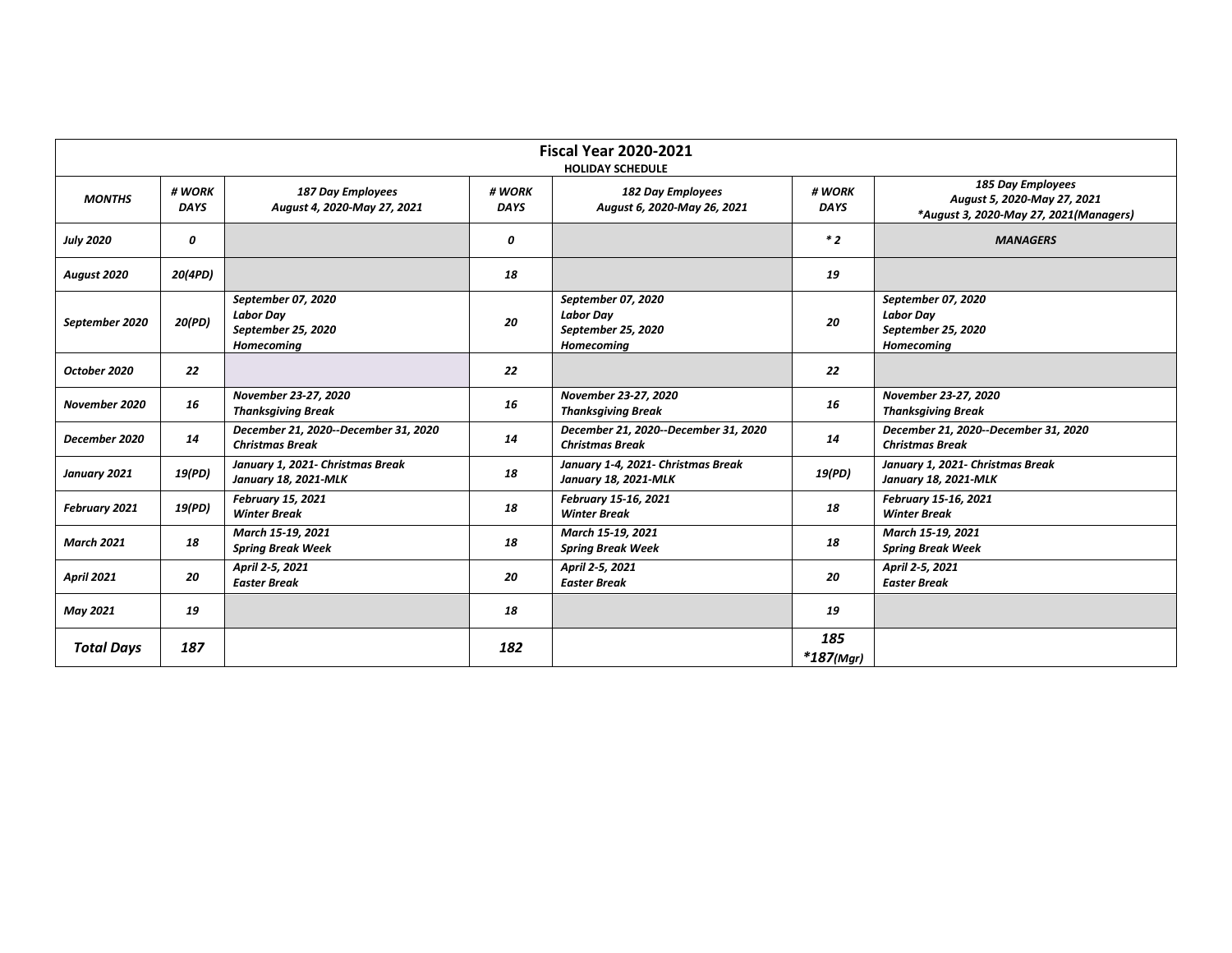| <b>Fiscal Year 2020-2021</b><br><b>HOLIDAY SCHEDULE</b> |                       |                                                                                   |                       |                                                                                   |                       |                                                                                                   |  |  |
|---------------------------------------------------------|-----------------------|-----------------------------------------------------------------------------------|-----------------------|-----------------------------------------------------------------------------------|-----------------------|---------------------------------------------------------------------------------------------------|--|--|
| <b>MONTHS</b>                                           | # WORK<br><b>DAYS</b> | <b>187 Day Employees</b><br>August 4, 2020-May 27, 2021                           | # WORK<br><b>DAYS</b> | 182 Day Employees<br>August 6, 2020-May 26, 2021                                  | # WORK<br><b>DAYS</b> | <b>185 Day Employees</b><br>August 5, 2020-May 27, 2021<br>*August 3, 2020-May 27, 2021(Managers) |  |  |
| <b>July 2020</b>                                        | 0                     |                                                                                   | 0                     |                                                                                   | $*2$                  | <b>MANAGERS</b>                                                                                   |  |  |
| August 2020                                             | 20(4PD)               |                                                                                   | 18                    |                                                                                   | 19                    |                                                                                                   |  |  |
| September 2020                                          | 20(PD)                | September 07, 2020<br><b>Labor Day</b><br>September 25, 2020<br><b>Homecoming</b> | 20                    | September 07, 2020<br><b>Labor Day</b><br>September 25, 2020<br><b>Homecoming</b> | 20                    | September 07, 2020<br><b>Labor Day</b><br>September 25, 2020<br><b>Homecoming</b>                 |  |  |
| October 2020                                            | 22                    |                                                                                   | 22                    |                                                                                   | 22                    |                                                                                                   |  |  |
| November 2020                                           | 16                    | November 23-27, 2020<br><b>Thanksgiving Break</b>                                 | 16                    | November 23-27, 2020<br><b>Thanksgiving Break</b>                                 | 16                    | November 23-27, 2020<br><b>Thanksgiving Break</b>                                                 |  |  |
| December 2020                                           | 14                    | December 21, 2020--December 31, 2020<br><b>Christmas Break</b>                    | 14                    | December 21, 2020--December 31, 2020<br><b>Christmas Break</b>                    | 14                    | December 21, 2020--December 31, 2020<br><b>Christmas Break</b>                                    |  |  |
| January 2021                                            | 19(PD)                | January 1, 2021- Christmas Break<br>January 18, 2021-MLK                          | 18                    | January 1-4, 2021- Christmas Break<br>January 18, 2021-MLK                        | 19(PD)                | January 1, 2021- Christmas Break<br>January 18, 2021-MLK                                          |  |  |
| February 2021                                           | 19(PD)                | <b>February 15, 2021</b><br><b>Winter Break</b>                                   | 18                    | February 15-16, 2021<br><b>Winter Break</b>                                       | 18                    | February 15-16, 2021<br><b>Winter Break</b>                                                       |  |  |
| <b>March 2021</b>                                       | 18                    | March 15-19, 2021<br><b>Spring Break Week</b>                                     | 18                    | March 15-19, 2021<br><b>Spring Break Week</b>                                     | 18                    | March 15-19, 2021<br><b>Spring Break Week</b>                                                     |  |  |
| <b>April 2021</b>                                       | 20                    | April 2-5, 2021<br><b>Easter Break</b>                                            | 20                    | April 2-5, 2021<br><b>Easter Break</b>                                            | 20                    | April 2-5, 2021<br><b>Easter Break</b>                                                            |  |  |
| <b>May 2021</b>                                         | 19                    |                                                                                   | 18                    |                                                                                   | 19                    |                                                                                                   |  |  |
| <b>Total Days</b>                                       | 187                   |                                                                                   | 182                   |                                                                                   | 185<br>$*187$ (Mgr)   |                                                                                                   |  |  |